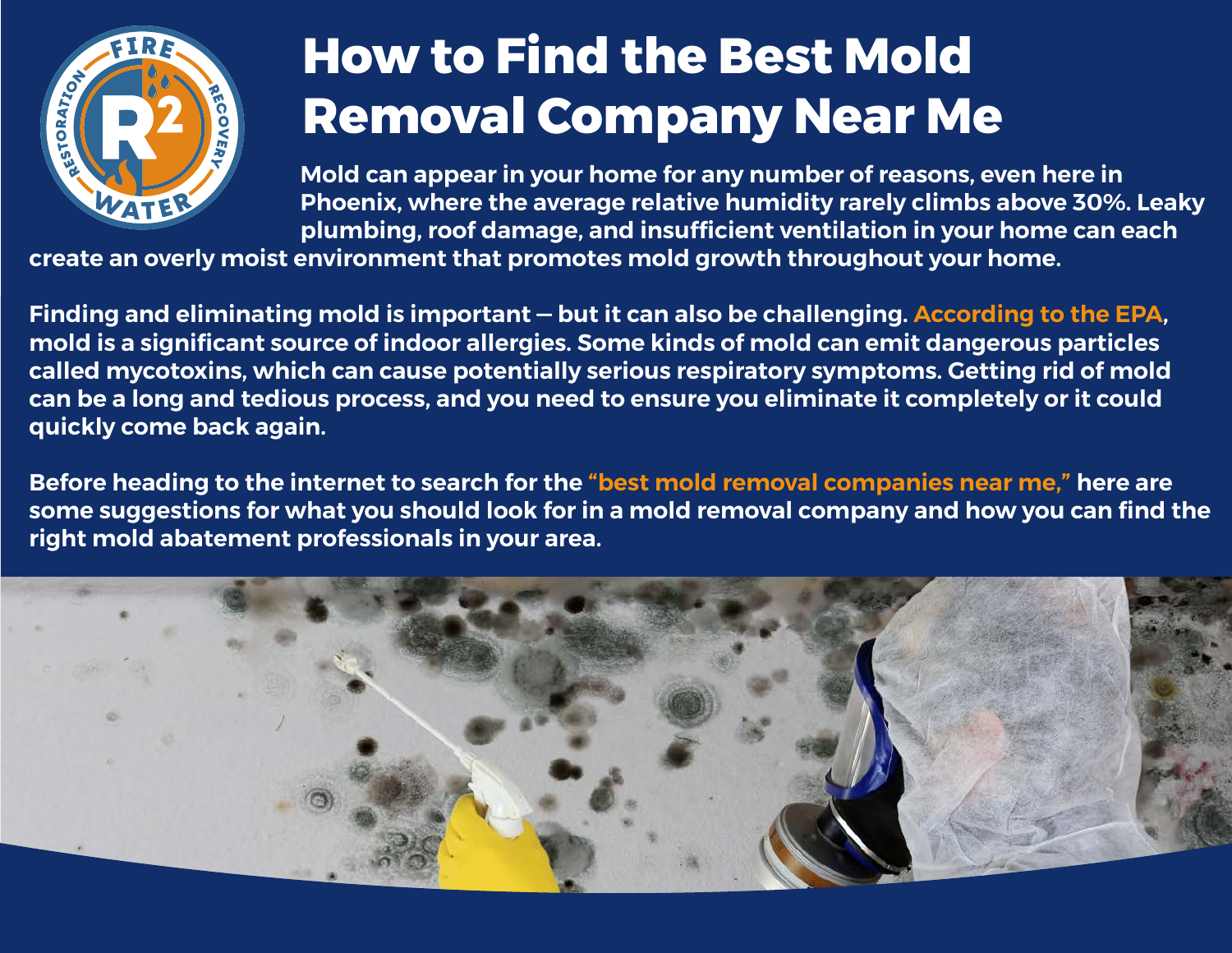

# **How to Find the Best Mold Removal Company Near Me**

**Mold can appear in your home for any number of reasons, even here in Phoenix, where the average relative humidity rarely climbs above 30%. Leaky plumbing, roof damage, and insufficient ventilation in your home can each** 

**create an overly moist environment that promotes mold growth throughout your home.**

**Finding and eliminating mold is important — but it can also be challenging. [According to the EPA,](https://www.epa.gov/mold/brief-guide-mold-moisture-and-your-home) mold is a significant source of indoor allergies. Some kinds of mold can emit dangerous particles called mycotoxins, which can cause potentially serious respiratory symptoms. Getting rid of mold can be a long and tedious process, and you need to ensure you eliminate it completely or it could quickly come back again.**

**Before heading to the internet to search for the ["best mold removal companies near me,](https://r2fw.com/services/mold-remediation/)" here are some suggestions for what you should look for in a mold removal company and how you can find the right mold abatement professionals in your area.**

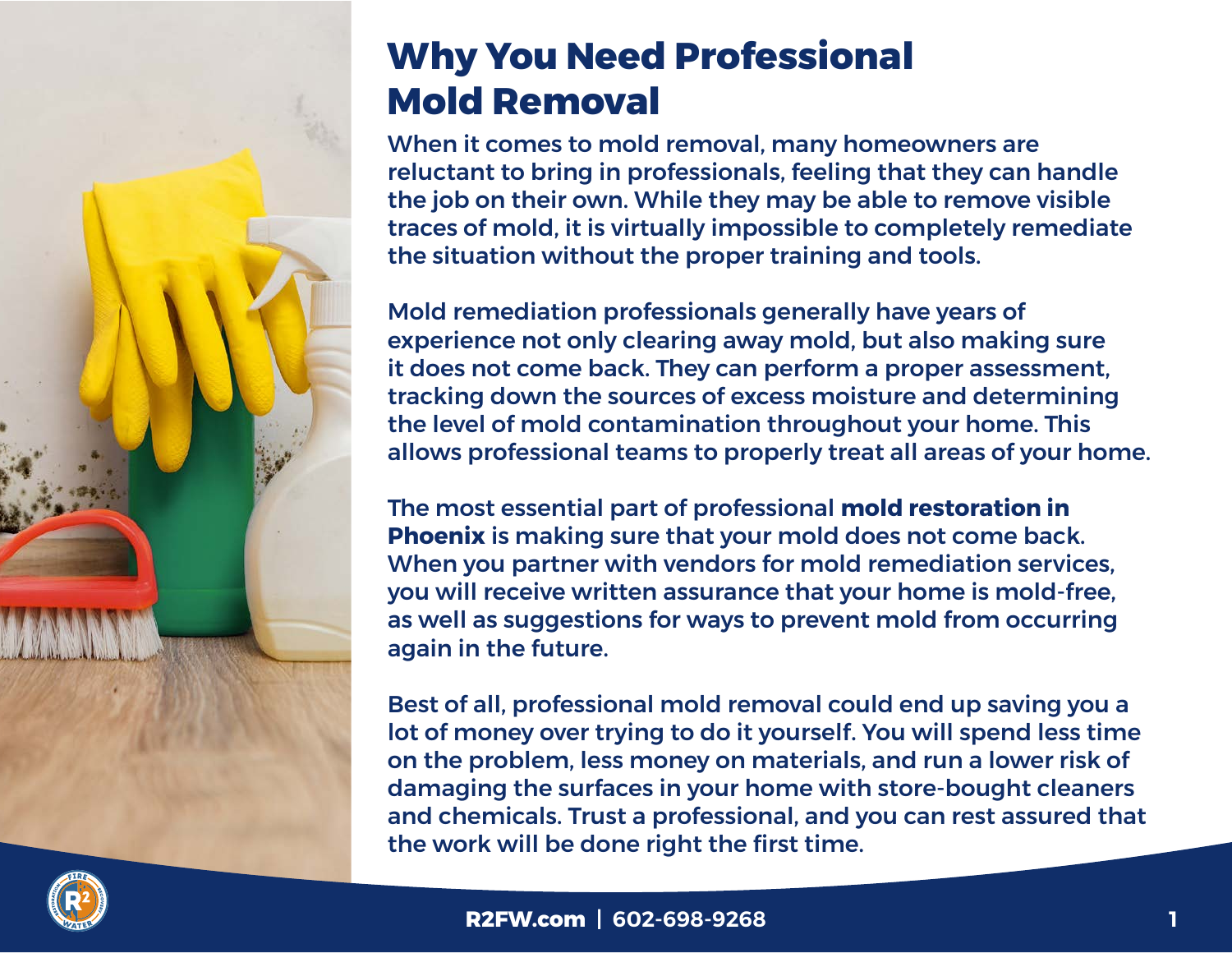## **Why You Need Professional Mold Removal**

When it comes to mold removal, many homeowners are reluctant to bring in professionals, feeling that they can handle the job on their own. While they may be able to remove visible traces of mold, it is virtually impossible to completely remediate the situation without the proper training and tools.

Mold remediation professionals generally have years of experience not only clearing away mold, but also making sure it does not come back. They can perform a proper assessment, tracking down the sources of excess moisture and determining the level of mold contamination throughout your home. This allows professional teams to properly treat all areas of your home.

The most essential part of professional **[mold restoration in](https://r2fw.com/services/mold-remediation/)  [Phoenix](https://r2fw.com/services/mold-remediation/)** is making sure that your mold does not come back. When you partner with vendors for mold remediation services, you will receive written assurance that your home is mold-free, as well as suggestions for ways to prevent mold from occurring again in the future.

Best of all, professional mold removal could end up saving you a lot of money over trying to do it yourself. You will spend less time on the problem, less money on materials, and run a lower risk of damaging the surfaces in your home with store-bought cleaners and chemicals. Trust a professional, and you can rest assured that the work will be done right the first time.

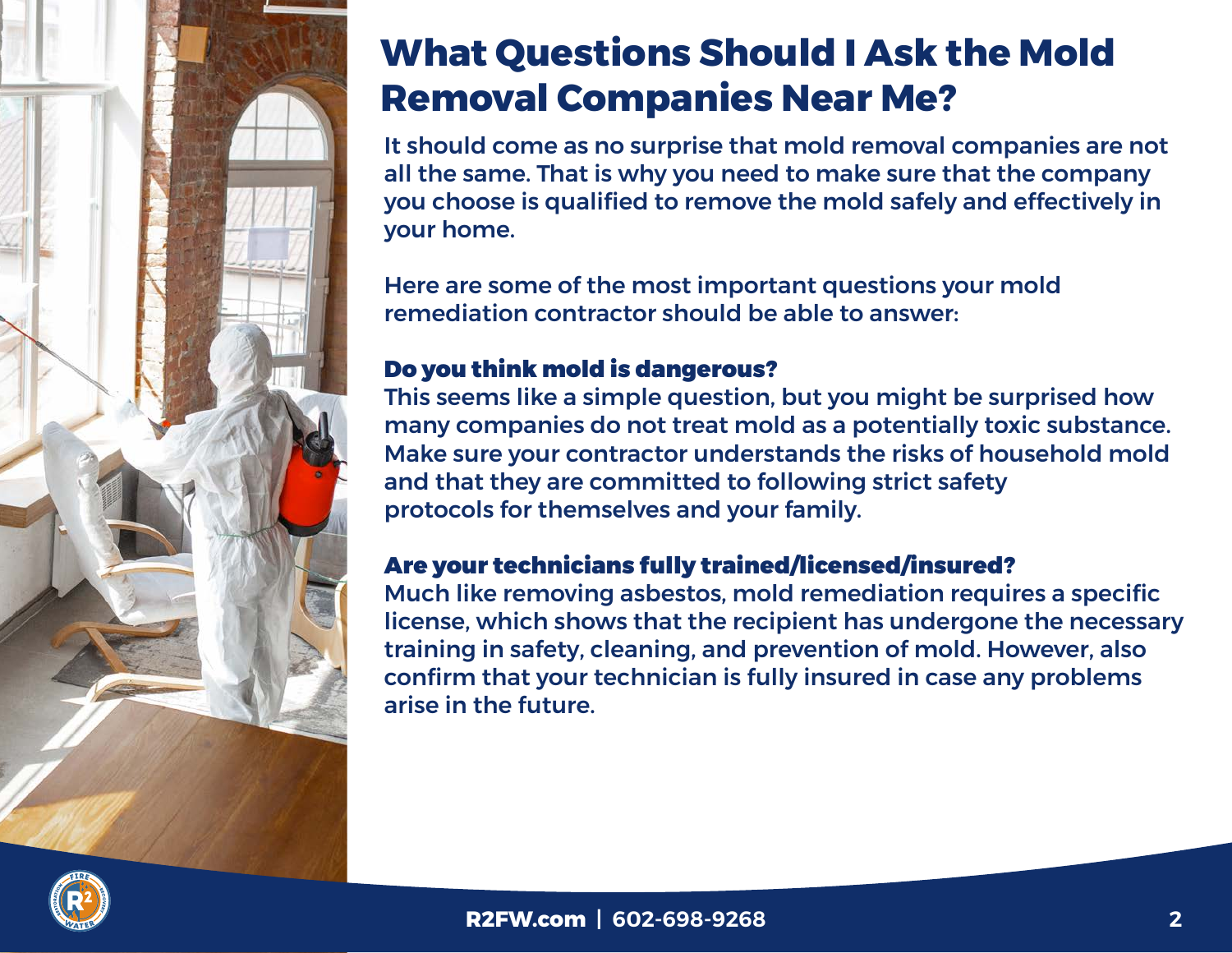

## **What Questions Should I Ask the Mold Removal Companies Near Me?**

It should come as no surprise that mold removal companies are not all the same. That is why you need to make sure that the company you choose is qualified to remove the mold safely and effectively in your home.

Here are some of the most important questions your mold remediation contractor should be able to answer:

### Do you think mold is dangerous?

This seems like a simple question, but you might be surprised how many companies do not treat mold as a potentially toxic substance. Make sure your contractor understands the risks of household mold and that they are committed to following strict safety protocols for themselves and your family.

### Are your technicians fully trained/licensed/insured?

Much like removing asbestos, mold remediation requires a specific license, which shows that the recipient has undergone the necessary training in safety, cleaning, and prevention of mold. However, also confirm that your technician is fully insured in case any problems arise in the future.

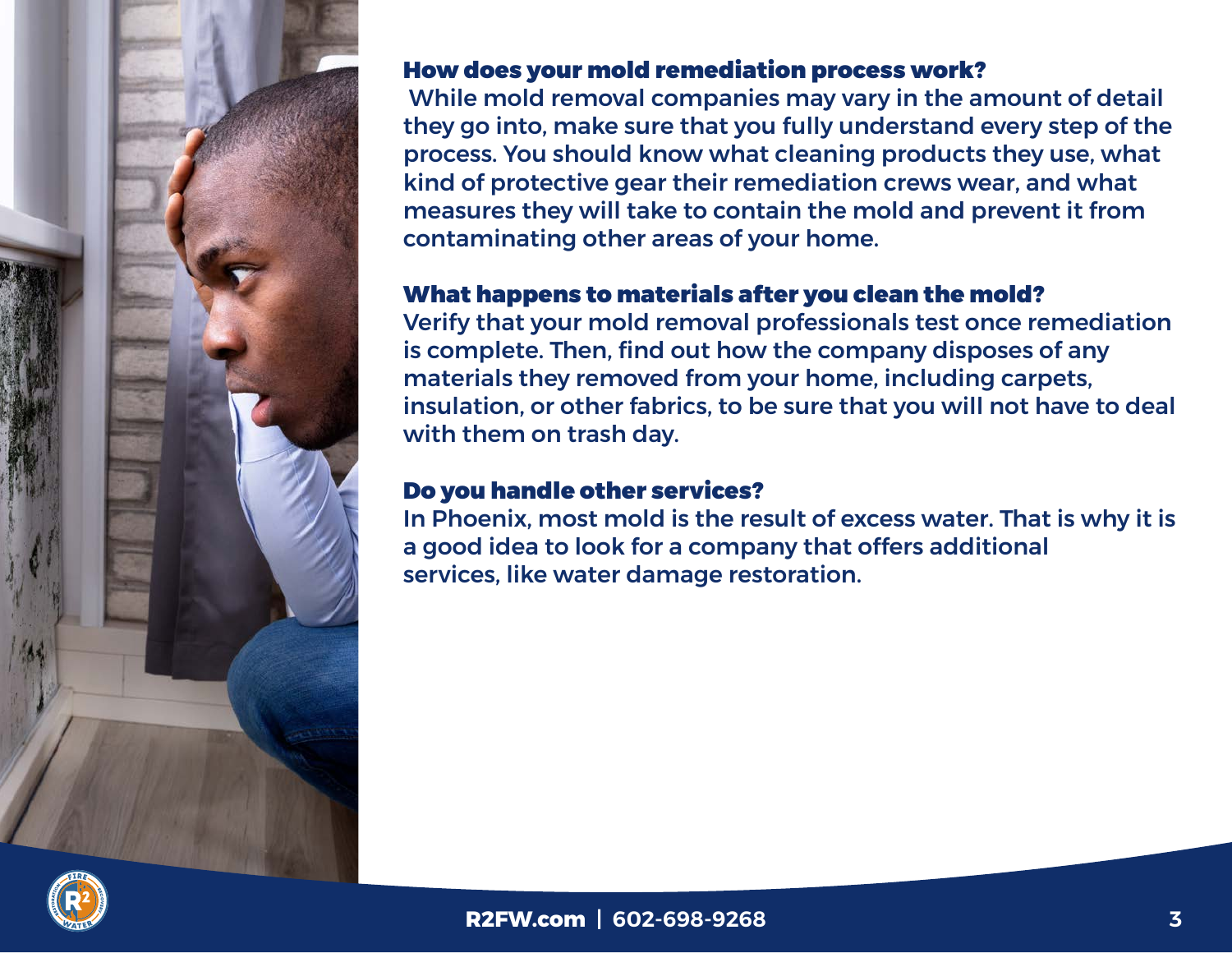

#### How does your mold remediation process work?

 While mold removal companies may vary in the amount of detail they go into, make sure that you fully understand every step of the process. You should know what cleaning products they use, what kind of protective gear their remediation crews wear, and what measures they will take to contain the mold and prevent it from contaminating other areas of your home.

### What happens to materials after you clean the mold?

Verify that your mold removal professionals test once remediation is complete. Then, find out how the company disposes of any materials they removed from your home, including carpets, insulation, or other fabrics, to be sure that you will not have to deal with them on trash day.

### Do you handle other services?

In Phoenix, most mold is the result of excess water. That is why it is a good idea to look for a company that offers additional services, like water damage restoration.